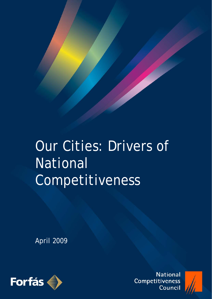

# Our Cities: Drivers of National Competitiveness

April 2009



**National** Competitiveness Council

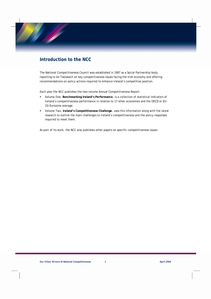## **Introduction to the NCC**

The National Competitiveness Council was established in 1997 as a Social Partnership body, reporting to An Taoiseach on key competitiveness issues facing the Irish economy and offering recommendations on policy actions required to enhance Ireland's competitive position.

Each year the NCC publishes the two-volume Annual Competitiveness Report.

- Volume One, **Benchmarking Ireland's Performance**, is a collection of statistical indicators of Ireland's competitiveness performance in relation to 17 other economies and the OECD or EU-15/Eurozone average.
- Volume Two, **Ireland's Competitiveness Challenge**, uses this information along with the latest research to outline the main challenges to Ireland's competitiveness and the policy responses required to meet them.

As part of its work, the NCC also publishes other papers on specific competitiveness issues.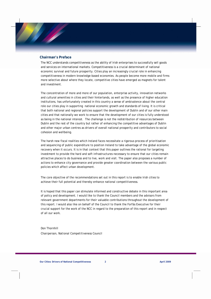#### **Chairman's Preface**

The NCC understands competitiveness as the ability of Irish enterprises to successfully sell goods and services on international markets. Competitiveness is a crucial determinant of national economic survival and future prosperity. Cities play an increasingly crucial role in enhancing competitiveness in modern knowledge-based economies. As people become more mobile and firms more selective about where they locate, competitive cities have emerged as magnets for talent and investment.

The concentration of more and more of our population, enterprise activity, innovation networks and cultural amenities in cities and their hinterlands, as well as the presence of higher education institutions, has unfortunately created in this country a sense of ambivalence about the central role our cities play in supporting national economic growth and standards of living. It is critical that both national and regional policies support the development of Dublin and of our other main cities and that nationally we work to ensure that the development of our cities is fully understood as being in the national interest. The challenge is not the redistribution of resources between Dublin and the rest of the country but rather of enhancing the competitive advantages of Dublin and other major urban centres as drivers of overall national prosperity and contributors to social cohesion and wellbeing.

The harsh new fiscal realities which Ireland faces necessitate a rigorous process of prioritisation and sequencing of public expenditure to position Ireland to take advantage of the global economic recovery when it occurs. It is in that context that this paper outlines the rational for targeting investment to provide the hard and soft infrastructures necessary to ensure that our cities remain attractive places to do business and to live, work and visit. The paper also proposes a number of actions to enhance city governance and provide greater coordination between the various public policies which affect urban development.

The core objective of the recommendations set out in this report is to enable Irish cities to achieve their full potential and thereby enhance national competitiveness.

It is hoped that this paper can stimulate informed and constructive debate in this important area of policy and development. I would like to thank the Council members and the advisors from relevant government departments for their valuable contributions throughout the development of this report. I would also like on behalf of the Council to thank the Forfás Executive for their crucial support for the work of the NCC in regard to the preparation of this report and in respect of all our work.

Don Thornhill *Chairperson, National Competitiveness Council*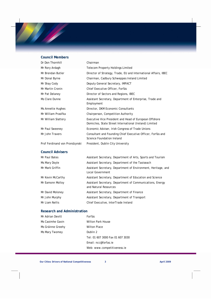#### **Council Members**

| Dr Don Thornhill               | Chairman                                                                                                          |
|--------------------------------|-------------------------------------------------------------------------------------------------------------------|
| Mr Rory Ardagh                 | <b>Telecom Property Holdings Limited</b>                                                                          |
| Mr Brendan Butler              | Director of Strategy, Trade, EU and International Affairs, IBEC                                                   |
| Mr Donal Byrne                 | Chairman, Cadbury Schweppes Ireland Limited                                                                       |
| Mr Shay Cody                   | Deputy General Secretary, IMPACT                                                                                  |
| Mr Martin Cronin               | Chief Executive Officer, Forfás                                                                                   |
| Mr Pat Delaney                 | Director of Sectors and Regions, IBEC                                                                             |
| Ms Clare Dunne                 | Assistant Secretary, Department of Enterprise, Trade and<br>Employment                                            |
| Ms Annette Hughes              | Director, DKM Economic Consultants                                                                                |
| Mr William Prasifka            | Chairperson, Competition Authority                                                                                |
| Mr William Slattery            | Executive Vice President and Head of European Offshore<br>Domiciles, State Street International (Ireland) Limited |
| Mr Paul Sweeney                | Economic Adviser, Irish Congress of Trade Unions                                                                  |
| Mr John Travers                | Consultant and Founding Chief Executive Officer, Forfás and<br>Science Foundation Ireland                         |
| Prof Ferdinand von Prondzynski | President, Dublin City University                                                                                 |

#### **Council Advisers**

| Mr Paul Bates     | Assistant Secretary, Department of Arts, Sports and Tourism                        |
|-------------------|------------------------------------------------------------------------------------|
| Ms Mary Doyle     | Assistant Secretary, Department of the Taoiseach                                   |
| Mr Mark Griffin   | Assistant Secretary, Department of Environment, Heritage, and<br>Local Government  |
| Mr Kevin McCarthy | Assistant Secretary, Department of Education and Science                           |
| Mr Eamonn Molloy  | Assistant Secretary, Department of Communications, Energy<br>and Natural Resources |
| Mr David Moloney  | Assistant Secretary, Department of Finance                                         |
| Mr John Murphy    | Assistant Secretary, Department of Transport                                       |
| Mr Liam Nellis    | Chief Executive, InterTrade Ireland                                                |

### **Research and Administration**

| Mr Adrian Devitt  | Forfás                           |
|-------------------|----------------------------------|
| Ms Caoimhe Gavin  | Wilton Park House                |
| Ms Gráinne Greehy | Wilton Place                     |
| Ms Mary Twomey    | Dublin 2                         |
|                   | Tel: 01 607 3000 Fax 01 607 3030 |
|                   | Fmail: ncc@forfas.ie             |
|                   | Web: www.competitiveness.ie      |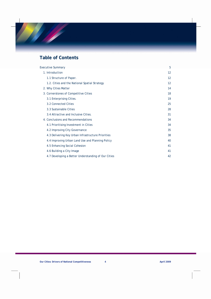## **Table of Contents**

| <b>Executive Summary</b>                            | 5  |
|-----------------------------------------------------|----|
| 1. Introduction                                     | 12 |
| 1.1 Structure of Paper.                             | 12 |
| 1.2. Cities and the National Spatial Strategy       | 12 |
| 2. Why Cities Matter                                | 14 |
| 3. Cornerstones of Competitive Cities               | 18 |
| 3.1 Enterprising Cities.                            | 19 |
| 3.2 Connected Cities                                | 25 |
| 3.3 Sustainable Cities                              | 28 |
| 3.4 Attractive and Inclusive Cities.                | 31 |
| 4. Conclusions and Recommendations                  | 34 |
| 4.1 Prioritising Investment in Cities               | 34 |
| 4.2 Improving City Governance                       | 35 |
| 4.3 Delivering Key Urban Infrastructure Priorities  | 38 |
| 4.4 Improving Urban Land Use and Planning Policy    | 40 |
| 4.5 Enhancing Social Cohesion                       | 41 |
| 4.6 Building a City Image                           | 41 |
| 4.7 Developing a Better Understanding of Our Cities | 42 |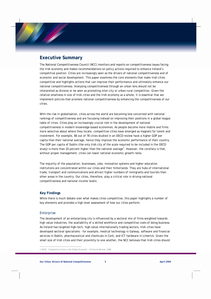## **Executive Summary**

The National Competitiveness Council (NCC) monitors and reports on competitiveness issues facing the Irish economy and makes recommendations on policy actions required to enhance Ireland's competitive position. Cities are increasingly seen as the drivers of national competitiveness and of economic and social development. This paper examines the core elements that make Irish cities competitive and highlights actions that can improve their performance and ultimately enhance our national competitiveness. Analysing competitiveness through an urban lens should not be interpreted as divisive or be seen as promoting inter-city or urban-rural competition. Given the relative smallness in size of Irish cities and the Irish economy as a whole, it is essential that we implement policies that promote national competitiveness by enhancing the competitiveness of our cities.

With the rise in globalisation, cities across the world are becoming less concerned with national rankings of competitiveness and are focussing instead on improving their positions in a global league table of cities. Cities play an increasingly crucial role in the development of national competitiveness in modern knowledge-based economies. As people become more mobile and firms more selective about where they locate, competitive cities have emerged as magnets for talent and investment. For example, 66 out of 78 cities studied in an OECD review have a higher GDP per capita than their national average; hence they improve the economic performance of their country. The GDP per capita of Dublin (the only Irish city of the scale required to be included in the OECD study) is more than 20 percent higher than the national average<sup>1</sup>. However, the corollary is that, without proper management, cities can lower national economic growth rates.

The majority of the population, businesses, jobs, innovation systems and higher education institutions are concentrated within our cities and their hinterlands. They are hubs of international trade, transport and communications and attract higher numbers of immigrants and tourists than other areas in the country. Our cities, therefore, play a critical role in driving national competitiveness and national income levels.

#### **Key Findings**

While there is much debate over what makes cities competitive, this paper highlights a number of key elements and provides a high level assessment of how our cities perform.

#### Enterprise

 $\overline{a}$ 

The development of an enterprising city is influenced by a sectoral mix of firms weighted towards high value industries, the availability of a skilled workforce and competitive costs of doing business. As Ireland has targeted high-tech, high-value internationally trading sectors, Irish cities have developed sectoral specialisms - for example, medical technology in Galway, software and financial services in Dublin, pharmaceutical and chemicals in Cork, and ICT hardware in Limerick. Given the small size of Irish cities and their proximity to one another, the NCC believes that Irish cities should

<sup>1</sup> OECD, "Competitive Cities in the Global Economy", Territorial Review, 2006.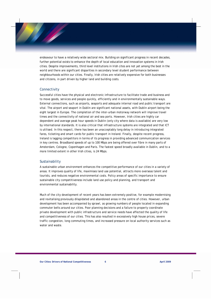endeavour to have a relatively wide sectoral mix. Building on significant progress in recent decades, further potential exists to enhance the depth of local education and innovation systems in Irish cities. Despite improvements, third level institutions in Irish cites are not yet among the best in the world and there are significant disparities in secondary level student performance between neighbourhoods within our cities. Finally, Irish cities are relatively expensive for both businesses and citizens, in part driven by higher land and building costs.

#### **Connectivity**

Successful cities have the physical and electronic infrastructure to facilitate trade and business and to move goods, services and people quickly, efficiently and in environmentally sustainable ways. External connections, such as airports, seaports and adequate internal road and public transport are vital. The airport and seaport in Dublin are significant national assets, with Dublin airport being the eight largest in Europe. The completion of the inter-urban motorway network will improve travel times and the connectivity of national air and sea ports. However, Irish cities are highly car dependent and average peak hour speeds in Dublin (only city where data is available) are very low by international standards. It is also critical that infrastructure systems are integrated and that ICT is utilised. In this respect, there has been an unacceptably long delay in introducing integrated fares, ticketing and smart cards for public transport in Ireland. Finally, despite recent progress, Ireland is lagging competitors in terms of its progress in providing advanced communication services in key centres. Broadband speeds of up to 100 Mbps are being offered over fibre in many parts of Amsterdam, Cologne, Copenhagen and Paris. The fastest speed broadly available in Dublin, and to a more limited extent in other Irish cities, is 24 Mbps.

#### Sustainability

A sustainable urban environment enhances the competitive performance of our cities in a variety of areas. It improves quality of life, maximises land use potential, attracts more overseas talent and tourists, and reduces negative environmental costs. Policy areas of specific importance to ensure sustainable city competitiveness include land use policy and planning, and transport and environmental sustainability.

Much of the city development of recent years has been extremely positive, for example modernising and revitalising previously dilapidated and abandoned areas in the centre of cities. However, urban development has been accompanied by sprawl, as growing numbers of people located in expanding commuter belts around our cities. Poor planning decisions and a failure to properly coordinate private development with public infrastructure and service needs have affected the quality of life and competitiveness of our cities. This has also resulted in excessively high house prices, severe traffic congestion, long commuting times, and increased pressure on local authority services such as water and waste.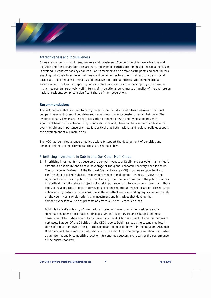#### Attractiveness and Inclusiveness

Cities are competing for citizens, workers and investment. Competitive cities are attractive and inclusive and these characteristics are nurtured when disparities are minimised and social exclusion is avoided. A cohesive society enables all of its members to be active participants and contributors, enabling individuals to achieve their goals and communities to exploit their economic and social potential. It also reduces criminality and negative reputational effects. Vibrant recreational, entertainment, cultural and sporting infrastructures are also key to enhancing city attractiveness. Irish cities perform relatively well in terms of international benchmarks of quality of life and foreign national residents comprise a significant share of their populations.

#### **Recommendations**

The NCC believes that we need to recognise fully the importance of cities as drivers of national competitiveness. Successful countries and regions must have successful cities at their core. The evidence clearly demonstrates that cities drive economic growth and living standards with significant benefits for national living standards. In Ireland, there can be a sense of ambivalence over the role and importance of cities. It is critical that both national and regional policies support the development of our main cities.

The NCC has identified a range of policy actions to support the development of our cities and enhance Ireland's competitiveness. These are set out below.

#### Prioritising Investment in Dublin and Our Other Main Cities

1. Prioritising investments that develop the competitiveness of Dublin and our other main cities is essential to enable Ireland to take advantage of the global economic recovery when it occurs. The forthcoming 'refresh' of the National Spatial Strategy (NSS) provides an opportunity to confirm the critical role that cities play in driving national competitiveness. In view of the significant reductions in public investment arising from the deterioration in the public finances, it is critical that city related projects of most importance for future economic growth and those likely to have greatest impact in terms of supporting the productive sector are prioritised. Since enhanced city performance has positive spill-over effects on surrounding regions and ultimately on the country as a whole, prioritising investment and initiatives that develop the competitiveness of our cities presents an effective use of Exchequer funds.

Dublin is Ireland's only city of international scale, with over one million residents and a significant number of international linkages. While it is by far, Ireland's largest and most densely populated urban area, at an international level Dublin is a small city on the margins of northwest Europe. Of the 78 cities in the OECD report, Dublin ranks as the second smallest in terms of population levels – despite the significant population growth in recent years. Although Dublin accounts for almost half of national GDP, we should not be complacent about its position as an internationally competitive location. Its continued success is critical for the performance of the entire economy.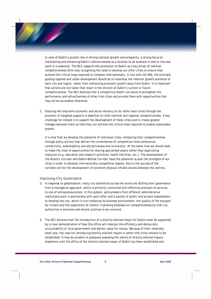In view of Dublin's pivotal role in driving national growth and prosperity, a strong focus on maintaining and enhancing Dublin's attractiveness as a location to do business in and to live and work in is essential. The NCC supports the promotion of Dublin as a key driver of national competitiveness while also recognising the need to develop our other cities to ensure they achieve the critical mass required to compete internationally. In line with the NSS, the principle guiding regional and urban development should be to maximise the inherent growth potential of each city and region, rather than redirecting economic growth away from Dublin. It is important that actions are not taken that result in the dilution of Dublin's current or future competitiveness. The NCC believes that a competitive Dublin can serve to strengthen the performance and attractiveness of other Irish cities and provide them with opportunities that may not be accessible otherwise.

2. Ensuring the long-term economic and social vibrancy of our other main cities through the provision of targeted supports is essential for both national and regional competitiveness. A key challenge for Ireland is to support the development of these cities and to create greater linkages between them so that they can achieve the critical mass required to enable sustainable growth.

It is vital that we develop the potential of individual cities, enhancing their competitiveness through policy actions that deliver the cornerstones of competitive cities (enterprise, connectivity, sustainability and attractiveness and inclusivity). At the same time we should seek to make the most of opportunities for sharing specialised assets rather than duplicating resources (e.g. education and research activities, health facilities, etc.). The development of the Atlantic Corridor and Dublin-Belfast Corridor have the potential to pool the strengths of our cities in order to develop internationally competitive regions. Key to the success of the corridors will be the development of excellent physical infrastructures between the centres.

#### Improving City Governance

- 3. In response to globalisation, many city authorities across the world are shifting their governance from a managerial approach, which is primarily concerned with effective provision of services, to one of entrepreneurialism. In this system, policymakers from different administrative institutions work in partnership with each other and a variety of public and private stakeholders to develop the city, which in turn enhances its business environment, the quality of life enjoyed by citizens and the experience of visitors. A growing emphasis on competitiveness by Irish city authorities is welcome and should continue to be nurtured.
- 4. The NCC believes that the introduction of a directly elected mayor for Dublin must be supported by a clear demonstration of how this office will improve the efficiency and democratic accountability of local government and deliver value for money. Because of their relatively small size, the case for introducing directly elected mayors in other Irish cities remains to be established. It may be prudent to postpone assessing the merits of directly elected mayors elsewhere until the office of the directly elected mayor of Dublin has been established and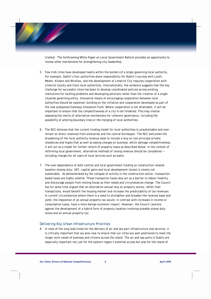trialled. The forthcoming White Paper on Local Government Reform provides an opportunity to review other mechanisms for strengthening city leadership.

- 5. Few Irish cities have developed neatly within the borders of a single governing local authority. For example, Dublin's four authorities share responsibility for Dublin's success with Louth, Meath, Kildare and Wicklow, and the development of Limerick City requires cooperation with Limerick County and Clare local authorities. Internationally, the evidence suggests that the key challenge for successful cities has been to develop coordinated policies across existing institutions for tackling problems and developing solutions rather than the creation of a single citywide governing entity. Innovative means of encouraging cooperation between local authorities should be explored, building on the initiative and cooperation developed as part of the now postponed Gateway Innovation Fund. Where cooperation is not attainable, it will be important to ensure that the competitiveness of a city is not hindered. This may involve assessing the merits of alternative mechanisms for coherent governance, including the possibility of altering boundary lines or the merging of local authorities.
- 6. The NCC believes that the current funding model for local authorities is unsustainable and overreliant on direct revenues from enterprise and the central Exchequer. The NCC welcomes the broadening of the local authority revenue base to include a levy on non-principal private residences and hopes that as well as easing charges on business, which damage competitiveness, it will act as a model for further reform of property taxes as described below. In the context of reforming local government, alternative methods of raising revenue should be considered including charges for all users of local services such as water.
- 7. The over-dependence of both central and local government funding on construction related taxation (stamp duty, VAT, capital gains and local development levies) is clearly not sustainable. As demonstrated by the collapse of activity in the construction sector, transactionbased taxes are highly volatile. These transaction taxes also act as a barrier to labour mobility and discourage people from moving house as their needs and circumstances change. The Council has for some time argued that an alternative annual levy on property stocks, rather than transactions, would benefit the housing market and increase the predictability of tax revenues. In current circumstances where there is a need to strengthen and broaden the revenue base and yield, the imposition of an annual property tax would, in contrast with increases in income or consumption taxes, have a more benign economic impact. However, the Council cautions against the development of a hybrid form of property taxation involving sizeable stamp duty levies and an annual property tax.

#### Delivering Key Urban Infrastructure Priorities

8. In view of the long lead times for the delivery of air and sea port infrastructure and services, it is critically important that we plan now to ensure that our cities are well positioned to meet the longer term needs of business and citizens across the island. The air and sea ports in Dublin are especially important not just for the eastern region's external access but also for the island of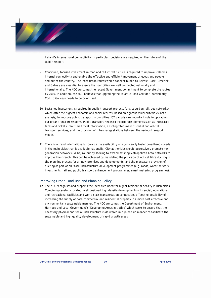Ireland's international connectivity. In particular, decisions are required on the future of the Dublin seaport.

- 9. Continued, focused investment in road and rail infrastructure is required to improve Ireland's internal connectivity and enable the effective and efficient movement of goods and people in and out of the country. The inter-urban routes which connect Dublin to Belfast, Cork, Limerick and Galway are essential to ensure that our cities are well connected nationally and internationally. The NCC welcomes the recent Government commitment to complete the routes by 2010. In addition, the NCC believes that upgrading the Atlantic Road Corridor (particularly Cork to Galway) needs to be prioritised.
- 10. Sustained investment is required in public transport projects (e.g. suburban rail, bus networks), which offer the highest economic and social returns, based on rigorous multi-criteria *ex ante*  analysis, to improve public transport in our cities. ICT can play an important role in upgrading our urban transport systems. Public transport needs to incorporate elements such as integrated fares and tickets, real time travel information, an integrated mesh of radial and orbital transport services, and the provision of interchange stations between the various transport modes.
- 11. There is a trend internationally towards the availability of significantly faster broadband speeds in the main cities than is available nationally. City authorities should aggressively promote next generation networks (NGNs) rollout by seeking to extend existing Metropolitan Area Networks to improve their reach. This can be achieved by mandating the provision of optical fibre ducting in the planning process for all new premises and developments, and the mandatory provision of ducting as part of all State infrastructure development programmes (e.g. roads, water network investments, rail and public transport enhancement programmes, smart metering programmes).

#### Improving Urban Land Use and Planning Policy

12. The NCC recognises and supports the identified need for higher residential density in Irish cities. Combining carefully located, well designed high density developments with social, educational and recreational facilities and world class transportation connections offers the possibility of increasing the supply of both commercial and residential property in a more cost effective and environmentally sustainable manner. The NCC welcomes the Department of Environment, Heritage and Local Government's 'Developing Areas Initiative' which seeks to ensure that the necessary physical and social infrastructure is delivered in a joined up manner to facilitate the sustainable and high quality development of rapid growth areas.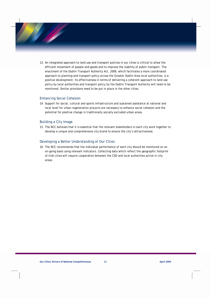13. An integrated approach to land use and transport policies in our cities is critical to allow the efficient movement of people and goods and to improve the viability of public transport. The enactment of the Dublin Transport Authority Act, 2008, which facilitates a more coordinated approach to planning and transport policy across the Greater Dublin Area local authorities, is a positive development. Its effectiveness in terms of delivering a coherent approach to land use policy by local authorities and transport policy by the Dublin Transport Authority will need to be monitored. Similar provisions need to be put in place in the other cities.

#### Enhancing Social Cohesion

14. Support for social, cultural and sports infrastructure and sustained assistance at national and local level for urban regeneration projects are necessary to enhance social cohesion and the potential for positive change in traditionally socially excluded urban areas.

#### Building a City Image

15. The NCC believes that it is essential that the relevant stakeholders in each city work together to develop a unique and comprehensive city brand to ensure the city's attractiveness.

#### Developing a Better Understanding of Our Cities

16. The NCC recommends that the individual performance of each city should be monitored on an on-going basis using relevant indicators. Collecting data which reflect the geographic footprint of Irish cities will require cooperation between the CSO and local authorities active in city areas.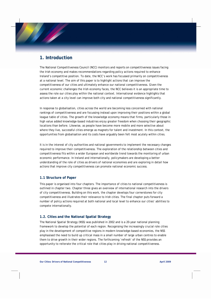## **1. Introduction**

The National Competitiveness Council (NCC) monitors and reports on competitiveness issues facing the Irish economy and makes recommendations regarding policy actions required to enhance Ireland's competitive position. To date, the NCC's work has focussed primarily on competitiveness at a national level. The aim of this paper is to highlight actions that can improve the competitiveness of our cities and ultimately enhance our national competitiveness. Given the current economic challenges the Irish economy faces, the NCC believes it is an appropriate time to assess the role our cities play within the national context. International evidence highlights that actions taken at a city level can improve both city and national competitiveness significantly.

In response to globalisation, cities across the world are becoming less concerned with national rankings of competitiveness and are focussing instead upon improving their positions within a global league table of cities. The growth of the knowledge economy means that firms, particularly those in high value added knowledge-based industries enjoy greater freedom when choosing their geographic locations than before. Likewise, as people have become more mobile and more selective about where they live, successful cities emerge as magnets for talent and investment. In this context, the opportunities from globalisation and its costs have arguably been felt most acutely within cities.

It is in the interest of city authorities and national governments to implement the necessary changes required to improve their competitiveness. The exploration of the relationship between cities and competitiveness fits within a wider European and worldwide trend towards the monitoring of urban economic performance. In Ireland and internationally, policymakers are developing a better understanding of the role of cities as drivers of national economies and are exploring in detail how actions that improve city competitiveness can promote national economic success.

#### **1.1 Structure of Paper**

This paper is organised into four chapters. The importance of cities to national competitiveness is outlined in chapter two. Chapter three gives an overview of international research into the drivers of city competitiveness. Building on this work, the chapter develops four cornerstones for city competitiveness and illustrates their relevance to Irish cities. The final chapter puts forward a number of policy actions required at both national and local level to enhance our cities' abilities to compete internationally.

#### **1.2. Cities and the National Spatial Strategy**

The National Spatial Strategy (NSS) was published in 2002 and is a 20-year national planning framework to develop the potential of each region. Recognising the increasingly crucial role cities play in the development of competitive regions in modern knowledge-based economies, the NSS emphasised the need to build up critical mass in a small number of large urban centres to enable them to drive growth in their wider regions. The forthcoming 'refresh' of the NSS provides an opportunity to reiterate the critical role that cities play in driving national competitiveness.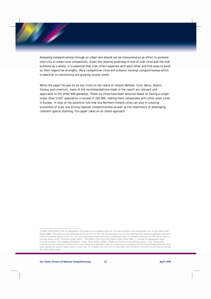Analysing competitiveness through an urban lens should not be interpreted as an effort to promote inter-city or urban-rural competition. Given the relative smallness in size of Irish cities and the Irish economy as a whole, it is essential that Irish cities cooperate with each other and find ways to build on their respective strengths. More competitive cities will enhance national competitiveness which is essential to maintaining and growing income levels.

While the paper focuses on six key cities on the island of Ireland (Belfast, Cork, Derry, Dublin, Galway and Limerick), many of the recommendations made in the report are relevant and applicable to the other NSS gateways. These six cities have been selected based on having a Larger Urban Zone  $(LUZ)^2$  population in excess of 100,000, making them comparable with other small cities in Europe. In view of the potential role that key Northern Ireland cities can play in creating economies of scale and driving regional competitiveness as well as the importance of developing coherent spatial planning, this paper takes an all island approach.

<sup>2</sup> Larger Urban Zones (LUZ) are geographic units used by the European Union for city data collection and comparisons such as the Urban Audit Study (2006). This data unit was developed to account for the fact that the boundary line of a city administration authority generally does not reflect the spatial reality of the city. The LUZ incorporates areas from which a significant share of residents commute into the city for work, a concept known as the 'functional urban region". The Dublin LUZ mirrors the Greater Dublin Area (GDA). It includes the geographic areas covered by Dublin, Dun Laoghaire-Rathdown, Fingal, South Dublin, Kildare, Meath and Wicklow local authority areas. Cork, Galway and Limerick LUZ are composed of both the city and county local authority areas. It is important to recognise that the LUZ overestimates the urban area, taking into account large tracks of rural areas. For example the Cork LUZ includes West Cork and North Cork which would both be outside the urban area of Cork.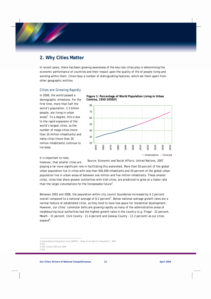## **2. Why Cities Matter**

In recent years, there has been growing awareness of the key role cities play in determining the economic performance of countries and their impact upon the quality of life of people living and working within them. Cities have a number of distinguishing features, which set them apart from other geographic entities.

#### Cities are Growing Rapidly

In 2008, the world passed a demographic milestone. For the first time, more than half the world's population, 3.3 billion people, are living in urban areas<sup>3</sup>. To a degree, this is due to the rapid expansion of the world's largest cities, as the number of mega-cities (more than 10 million inhabitants) and meta-cities (more than 20 million inhabitants) continue to increase.

It is important to note,

however, that smaller cities are

#### *Source: Economic and Social Affairs, United Nations, 2007*

playing a far more significant role in facilitating this watershed. More than 50 percent of the global urban population live in cities with less than 500,000 inhabitants and 20 percent of the global urban population live in urban areas of between one million and five million inhabitants. These smaller cities, cities that share greater similarities with Irish cities, are predicted to grow at a faster rate than the larger conurbations for the foreseeable future<sup>4</sup>.

Between 2002 and 2006, the population within city council boundaries increased by 4.2 percent overall compared to a national average of 8.2 percent<sup>5</sup>. Below national average growth rates are a normal feature of established cities, as they tend to have less space for residential development. However, our cities' commuter belts are growing rapidly as many of the administrative areas of neighbouring local authorities had the highest growth rates in the country (e.g. Fingal - 22 percent, Meath - 21 percent, Cork County - 11.4 percent and Galway County - 11.2 percent) as our cities expand<sup>6</sup>.



**Figure 1: Percentage of World Population Living in Urban** 



 $\overline{a}$ 3 United Nations Population Fund (UNFPA), "State of the World's Population", 2007.

<sup>4</sup> Ibid.

<sup>5</sup> CSO, Census 2002 and 2006.

<sup>6</sup> Ibid.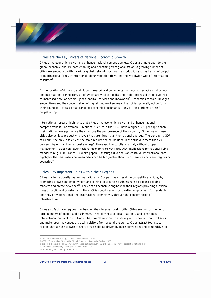#### Cities are the Key Drivers of National Economic Growth

Cities drive economic growth and enhance national competitiveness. Cities are more open to the global economy, and are both enabling and benefiting from globalisation. A growing number of cities are embedded within various global networks such as the production and marketing of output of multinational firms, international labour migration flows and the worldwide web of information resources<sup>7</sup>.

As the location of domestic and global transport and communication hubs, cities act as indigenous and international connectors, all of which are vital to facilitating trade. Increased trade gives rise to increased flows of people, goods, capital, services and innovation<sup>8</sup>. Economies of scale, linkages among firms and the concentration of high skilled workers mean that cities generally outperform their countries across a broad range of economic benchmarks. Many of these drivers are selfperpetuating.

International research highlights that cities drive economic growth and enhance national competitiveness. For example, 66 out of 78 cities in the OECD have a higher GDP per capita than their national average; hence they improve the performance of their country. Sixty-five of these cities also achieve productivity levels that are higher than the national average. The per capita GDP of Dublin (the only Irish city of the scale required to be included in the study) is more than 20 percent higher than the national average<sup>9</sup>. However, the corollary is that, without proper management, cities can lower national economic growth rates with implications for national living standards (e.g. Lille-France, Fukuoka-Japan, Pittsburgh–USA and Naples-Italy). International data highlights that disparities between cities can be far greater than the differences between regions or countries10.

#### Cities Play Important Roles within their Regions

Cities matter regionally, as well as nationally. Competitive cities drive competitive regions, by promoting growth and employment and joining up separate business hubs to expand existing markets and create new ones<sup>11</sup>. They act as economic engines for their regions providing a critical mass of public and private institutions. Cities boost regions by creating employment for residents and they provide national and international connectivity through the concentration of infrastructure.

Cities also facilitate regions in enhancing their international profile. Cities are not just home to large numbers of people and businesses. They play host to local, national, and sometimes international political institutions. They are often home to a variety of historic and cultural sites and major sporting venues attracting visitors from around the world. Cities attract tourists to regions through the growth of short break holidays driven by more convenient and competitive air

<sup>7</sup> Kim Y.H and Rennie Short J, "Cities and Economies", 2008.

<sup>8</sup> OECD, "Competitive Cities in the Global Economy", Territorial Review, 2006.

<sup>9</sup> Ibid. This is above the OECD average which is significant given that Dublin accounts for 47 percent of national GDP.

<sup>10</sup> European Commission, "State of European Cities", 2007.

<sup>11</sup> United Kingdom Treasury Office, 2006.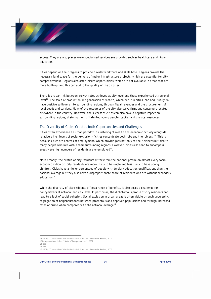access. They are also places were specialised services are provided such as healthcare and higher education.

Cities depend on their regions to provide a wider workforce and skills base. Regions provide the necessary land space for the delivery of major infrastructure projects, which are essential for city competitiveness. Regions also offer leisure opportunities, which are not available in areas that are more built-up, and this can add to the quality of life on offer.

There is a clear link between growth rates achieved at city level and those experienced at regional level<sup>12</sup>. The scale of production and generation of wealth, which occur in cities, can and usually do, have positive spillovers into surrounding regions, through fiscal revenues and the procurement of local goods and services. Many of the resources of the city also serve firms and consumers located elsewhere in the country. However, the success of cities can also have a negative impact on surrounding regions, draining them of talented young people, capital and physical resources.

#### The Diversity of Cities Creates both Opportunities and Challenges

Cities often experience an *urban paradox*, a clustering of wealth and economic activity alongside relatively high levels of social exclusion - '*cities concentrate both jobs and the jobless*' 13. This is because cities are centres of employment, which provide jobs not only to their citizens but also to many people who live within their surrounding regions. However, cities also tend to encompass areas were high numbers of residents are unemployed<sup>14</sup>.

More broadly, the profile of city residents differs from the national profile on almost every socioeconomic indicator. City residents are more likely to be single and less likely to have young children. Cities have a higher percentage of people with tertiary education qualifications than the national average but they also have a disproportionate share of residents who are without secondary education $15$ .

While the diversity of city residents offers a range of benefits, it also poses a challenge for policymakers at national and city level. In particular, the dichotomous profile of city residents can lead to a lack of social cohesion. Social exclusion in urban areas is often visible through geographic segregation of neighbourhoods between prosperous and deprived populations and through increased rates of crime when compared with the national average<sup>16</sup>.

<sup>12</sup> OECD, "Competitive Cities in the Global Economy", Territorial Review, 2006.

<sup>13</sup> European Commission, "State of European Cities", 2007.

<sup>14</sup> Ibid.

<sup>15</sup> Ibid.

<sup>16</sup> OECD, "Competitive Cities in the Global Economy", Territorial Review, 2006.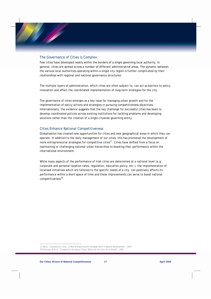#### The Governance of Cities is Complex

Few cities have developed neatly within the borders of a single governing local authority. In general, cities are spread across a number of different administrative areas. The dynamic between the various local authorities operating within a single city region is further complicated by their relationships with regional and national governance structures.

The multiple layers of administration, which cities are often subject to, can act as barriers to policy innovation and affect the coordinated implementation of long-term strategies for the city.

The governance of cities emerges as a key issue for managing urban growth and for the implementation of policy actions and strategies in pursuing competitiveness objectives. Internationally, the evidence suggests that the key challenge for successful cities has been to develop coordinated policies across existing institutions for tackling problems and developing solutions rather than the creation of a single citywide governing entity.

#### Cities Enhance National Competitiveness

Globalisation has created new opportunities for cities and new geographical areas in which they can operate. In addition to the daily management of our cities, this has promoted the development of more entrepreneurial strategies for competitive cities<sup>17</sup>. Cities have shifted from a focus on maintaining or challenging national urban hierarchies to boosting their performance within the international environment.

While many aspects of the performance of Irish cities are determined at a national level (e.g. corporate and personal taxation rates, regulation, education policy, etc.), the implementation of localised initiatives which are tailored to the specific needs of a city, can positively affects its performance within a short space of time and these improvements can serve to boost national competitiveness $^{18}$ .

 $\overline{a}$ 17 OECD, "Competitive Cities : A New Entrepreneurial Paradigm Shift in Spatial Development", 2007. 18 Parkinson M et al, "Competitive European Cities: Where do the Core Cities Stand?", 2004.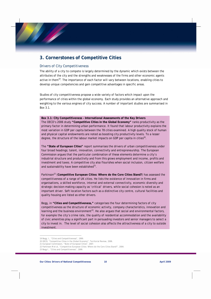## **3. Cornerstones of Competitive Cities**

#### Drivers of City Competitiveness

The ability of a city to compete is largely determined by the dynamic which exists between the attributes of the city and the strengths and weaknesses of the firms and other economic agents active in them<sup>19</sup>. The importance of each factor will vary between locations, enabling cities to develop unique competencies and gain competitive advantages in specific areas.

Studies of city competitiveness propose a wide variety of factors which impact upon the performance of cities within the global economy. Each study provides an alternative approach and weighting to the various engines of city success. A number of important studies are summarised in Box 3.1.

**Box 3.1: City Competitiveness – International Assessments of the Key Drivers**  The OECD's 2006 study **"Competitive Cities in the Global Economy"** ranks productivity as the primary factor in determining urban performance. It found that labour productivity explains the most variation in GDP per capita between the 78 cities examined. A high quality stock of human and physical capital endowments are noted as boosting city productivity levels. To a lesser degree, the structure of the labour market impacts on GDP per capita in cities<sup>20</sup>.

The **"State of European Cities"** report summarises the drivers of urban competitiveness under four broad headings; talent, innovation, connectivity and entrepreneurship. The European Commission argues that the particular combination of these elements determine a city's industrial structure and productivity and from this grows employment and income, profits and investment and taxes. A competitive city also flourishes when social inclusion, citizen welfare and sustainability have been established $21$ .

Parkinson<sup>22</sup> (Competitive European Cities: Where do the Core Cities Stand?) has assessed the competitiveness of a range of UK cities. He lists the existence of innovation in firms and organisations, a skilled workforce, internal and external connectivity, economic diversity and strategic decision-making capacity as 'critical' drivers, while social cohesion is noted as an important driver. Soft location factors such as a distinctive city centre, cultural facilities and quality housing are listed as other drivers.

Begg, in **"Cities and Competitiveness,"** categorises the four determining factors of city competitiveness as the structure of economic activity, company characteristics, innovation and learning and the business environment<sup>23</sup>. He also argues that social and environmental factors, for example the city's crime rate, the quality of residential accommodation and the availability of civic amenities play a significant part in persuading investors and senior managers to select a city to invest in. The level of social cohesion also affects the attractiveness of a city to outside investment.

 $\overline{a}$ 19 Begg, I., "Cities and Competitiveness", 1999.

<sup>20</sup> OECD, "Competitive Cities in the Global Economy", Territorial Review, 2006.

<sup>21</sup> European Commission, "State of European Cities", 2007.

<sup>22</sup> Parkinson M et al, "Competitive European Cities: Where do the Core Cities Stand?", 2004.

<sup>23</sup> Begg I., "Cities and Competitiveness", 1999.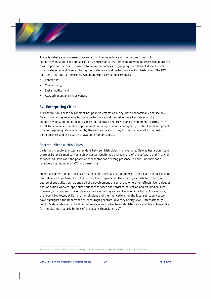There is debate among researchers regarding the importance of the various drivers of competitiveness and their impact on city performance. Rather than attempt to assess which are the most important factors, it is useful to begin the analysis by grouping the different drivers under broad categories and then exploring their relevance and performance within Irish cities. The NCC has identified four cornerstones, which underpin city competitiveness:

- Enterprise;
- Connectivity;
- **Sustainability**; and
- Attractiveness and Inclusiveness.

#### **3.1 Enterprising Cities**

A prosperous business environment has positive effects on a city, both economically and socially. Enterprising cities recognise business performance and innovation as a key driver of city competitiveness and pool local resources to facilitate the growth and development of firms in an effort to achieve sustainable improvements in living standards and quality of life. The development of an enterprising city is affected by the sectoral mix of firms, innovation intensity, the cost of doing business and the quality of available human capital.

#### Sectoral Mixes within Cities

Variations in sectoral mixes are evident between Irish cities – for example, Galway has a significant share of Ireland's medical technology sector, Dublin has a large share of the software and financial services industries and the pharma-chem sector has a strong presence in Cork. Limerick has a relatively high number of ICT hardware firms.

Significant growth in all these sectors (in some cases, a small number of firms) over the past decade has delivered huge benefits to Irish cities, their regions and the country as a whole. In turn, a degree of specialisation has enabled the development of some 'agglomeration effects' i.e. a deeper pool of skilled workers, specialised support services and targeted education and training courses. However, it is prudent to avoid over-reliance on a single area of economic activity. For example, the recent job losses at Dell's Limerick plant and the implications for the local sub-supply sector have highlighted the importance of encouraging sectoral diversity at city level. Internationally, London's dependence on the financial services sector has been identified as a possible vulnerability for the city, particularly in light of the recent financial crisis $^{24}$ .

<sup>24</sup> Rode P., London School of Economics speaking at the North West City Region Conference, Derry 15th January 2009.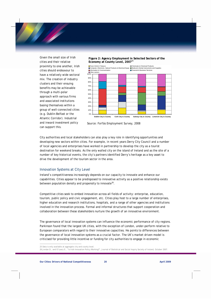Given the small size of Irish cities and their relative proximity to one another, Irish cities should endeavour to have a relatively wide sectoral mix. The creation of industry clusters and their ensuing benefits may be achievable through a multi-polar approach with various firms and associated institutions basing themselves within a group of well-connected cities (e.g. Dublin-Belfast or the Atlantic Corridor). Industrial and inward investment policy can support this.





*Source: Forfás Employment Survey, 2008*

City authorities and local stakeholders can also play a key role in identifying opportunities and developing new sectors within cities. For example, in recent years Derry City Council and a number of local agencies and enterprises have worked in partnership to develop the city as a tourist destination for weekend breaks. As the only walled city on the island of Ireland and as the site of a number of key historical events, the city's partners identified Derry's heritage as a key asset to drive the development of the tourism sector in the area.

#### Innovation Systems at City Level

Ireland's competitiveness increasingly depends on our capacity to innovate and enhance our capabilities. Cities appear to be predisposed to innovative activity as a positive relationship exists between population density and propensity to innovate<sup>26</sup>.

Competitive cities seek to embed innovation across all fields of activity: enterprise, education, tourism, public policy and civic engagement, etc. Cities play host to a large number of enterprises, higher education and research institutions, hospitals, and a range of other agencies and institutions involved in the innovation process. Formal and informal structures that support cooperation and collaboration between these stakeholders nurture the growth of an innovative environment.

The governance of local innovation systems can influence the economic performance of city regions. Parkinson found that the largest UK cities, with the exception of London, under-perform relative to European comparators with regard to their innovative capacities. He points to differences between the governance of local innovation systems as a crucial factor. The UK's market driven model is criticised for providing little incentive or funding for city authorities to engage in economic

25 Data is only available at aggregate city and county level.

 $\overline{a}$ 

26 Jordan D., and O'Leary E., "Is Irish Innovation Policy Working?", Journal of Statistical and Social Inquiry Society of Ireland, October 2007.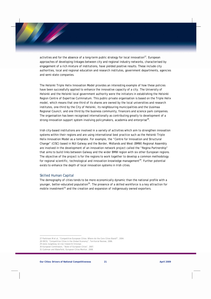activities and for the absence of a long-term public strategy for local innovation<sup>27</sup>. European approaches of developing linkages between city and regional industry networks, characterised by engagement of a rich mixture of institutions, have yielded positive results. These include city authorities, local and regional education and research institutes, government departments, agencies and semi-state companies.

The Helsinki Triple Helix Innovation Model provides an interesting example of how these policies have been successfully applied to enhance the innovative capacity of a city. The University of Helsinki and the Helsinki local government authority were the initiators in establishing the *Helsinki Region Centre of Expertise Culminatum*. This public-private organisation is based on the Triple Helix model, which means that one-third of its shares are owned by the local universities and research institutes, one-third by the City of Helsinki, its neighbouring municipalities and the Uusimaa Regional Council, and one third by the business community, financers and science park companies. The organisation has been recognised internationally as contributing greatly to development of a strong innovation support system involving policymakers, academia and enterprise<sup>28</sup>.

Irish city-based institutions are involved in a variety of activities which aim to strengthen innovation systems within their regions and are using international best practice such as the Helsinki Triple Helix Innovation Model as a template. For example, the "Centre for Innovation and Structural Change" (CISC) based in NUI Galway and the Border, Midlands and West (BMW) Regional Assembly are involved in the development of an innovation network project called the "Regina Partnership" that aims to build links between Galway and the wider BMW region with six other European regions. The objective of the project is for the regions to work together to develop a common methodology for regional scientific, technological and innovation knowledge management<sup>29</sup>. Further potential exists to enhance the depth of local innovation systems in Irish cities.

#### Skilled Human Capital

The demography of cities tends to be more economically dynamic than the national profile with a younger, better-educated population<sup>30</sup>. The presence of a skilled workforce is a key attraction for mobile investment<sup>31</sup> and the creation and expansion of indigenously owned exporters.

<sup>27</sup> Parkinson M et al, "Competitive European Cities: Where do the Core Cities Stand?", 2004.

<sup>28</sup> OECD, "Competitive Cities in the Global Economy", Territorial Review, 2006.

<sup>29</sup> www.nuigalway.ie/cisc/research/innovsys

<sup>30</sup> European Commission, "State of European Cities", 2007.

<sup>31</sup> Cushman and Wakefield, European Cities Monitor, 2008.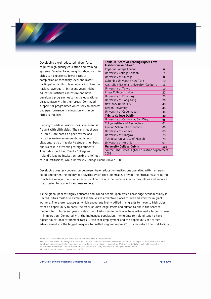Developing a well-educated labour force requires high quality education and training systems. Disadvantaged neighbourhoods within cities can experience lower rates of completion at secondary level and lower participation at third level education than the national average<sup>33</sup>. In recent years, higher education institutes across Ireland have developed programmes to tackle educational disadvantage within their areas. Continued support for programmes which seek to address underperformance in education within our cities is required.

Ranking third-level institutions is an exercise fraught with difficulties. The rankings shown in Table 1 are based on peer review and recruiter review assessments, number of citations, ratio of faculty to student numbers and success in attracting foreign students. This index identified Trinity College as Ireland's leading institution ranking it 49<sup>th</sup> out

| Table 1: Score of Leading Higher Level<br>Institutions in Cities <sup>32</sup> |     |  |
|--------------------------------------------------------------------------------|-----|--|
| Imperial College London                                                        | 6   |  |
| <b>University College London</b>                                               | 7   |  |
| University of Chicago                                                          | 8   |  |
| Columbia University New York                                                   | 10  |  |
| Australian National University, Canberra                                       | 16  |  |
| University of Tokyo                                                            | 19  |  |
| King's College London                                                          | 22  |  |
| University of Edinburgh                                                        | 23  |  |
| University of Hong Kong                                                        | 26  |  |
| New York University                                                            | 40  |  |
| <b>Boston University</b>                                                       | 46  |  |
| University of Copenhagen                                                       | 48  |  |
| <b>Trinity College Dublin</b>                                                  | 49  |  |
| University of California, San Diego                                            | 58  |  |
| Tokyo Institute of Technology                                                  | 61  |  |
| <b>London School of Economics</b>                                              | 66  |  |
| University of Geneva                                                           | 68  |  |
| University of Glasgow                                                          | 73  |  |
| <b>Technical University of Munich</b>                                          | 78  |  |
| University of Helsinki                                                         | 91  |  |
| <b>University College Dublin</b>                                               | 108 |  |
| Source: The Times Higher Education Supplement,<br>2008                         |     |  |

of 200 institutions, while University College Dublin ranked 108<sup>th</sup>.

Developing greater cooperation between higher education institutions operating within a region could strengthen the quality of activities which they undertake, provide the critical mass required to achieve recognition as an international centre of excellence in specific disciplines and enhance the offering for students and researchers.

As the global pool for highly educated and skilled people upon which knowledge economies rely is limited, cities must also establish themselves as attractive places to live and work for migrant workers. Therefore, strategies, which encourage highly skilled immigrants to move to Irish cities, offer an opportunity to boost the stock of knowledge assets and human talent in the short to medium term. In recent years, Ireland, and Irish cities in particular have witnessed a large increase in immigration. Compared with the indigenous population, immigrants to Ireland tend to have higher educational attainment rates. Given that employment and the opportunity for career advancement are the biggest magnets for skilled migrant workers<sup>34</sup>, it is important that institutional

33 Within cities there can be significant concentrations of under performance in certain locations. For example, in 2004 there was a wide variation in admission rates to higher education by Dublin postal district, ranging from 11.7 percent in Ballyfermot to 86 percent in Rathfarnham-Clonskeagh. Source: Higher Education Authority, 2006, Who Went to College in 2004?, Dublin. 34 Clark G, British Council, "Open Cities", 2008.

<sup>32</sup> No other Irish higher education institutions were included in these rankings.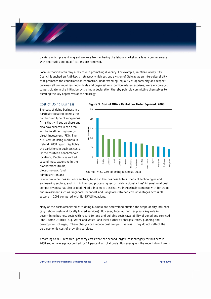barriers which prevent migrant workers from entering the labour market at a level commensurate with their skills and qualifications are removed.

Local authorities can play a key role in promoting diversity. For example, in 2004 Galway City Council launched an Anti-Racism strategy which set out a vision of Galway as an intercultural city that promotes the conditions for interaction, understanding, equality of opportunity and respect between all communities. Individuals and organisations, particularly enterprises, were encouraged to participate in the initiative by signing a declaration thereby publicly committing themselves to pursuing the key objectives of the strategy.

#### Cost of Doing Business

The cost of doing business in a particular location affects the number and type of indigenous firms that will set up there and also how successful the area will be in attracting foreign direct investment (FDI). The NCC Cost of Doing Business in Ireland, 2008 report highlights the variations in business costs. Of the fourteen benchmarked locations, Dublin was ranked second most expensive in the biopharmaceuticals, biotechnology, fund administration and



 **Figure 3: Cost of Office Rental per Meter Squared, 2008**

*Source: NCC, Cost of Doing Business, 2008*

telecommunications software sectors, fourth in the business hotels, medical technologies and engineering sectors, and fifth in the food processing sector. Irish regional cities' international cost competitiveness has also eroded. Middle income cities that we increasingly compete with for trade and investment such as Singapore, Budapest and Bangalore retained cost advantages across all sectors in 2008 compared with EU-15/US locations.

Many of the costs associated with doing business are determined outside the scope of city influence (e.g. labour costs and locally traded services). However, local authorities play a key role in determining business costs with regard to land and building costs (availability of zoned and serviced land), some utilities (e.g. water and waste) and local authority charges (rates, planning and development charges). These charges can reduce cost competitiveness if they do not reflect the true economic cost of providing services.

According to NCC research, property costs were the second largest cost category for business in 2008 and on average accounted for 11 percent of total costs. However given the recent downturn in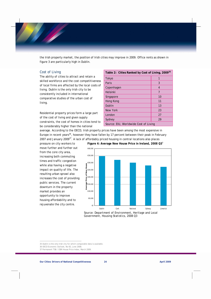the Irish property market, the position of Irish cities may improve in 2009. Office rents as shown in figure 3 are particularly high in Dublin.

#### Cost of Living

The ability of cities to attract and retain a skilled workforce and the cost competitiveness of local firms are affected by the local costs of living. Dublin is the only Irish city to be consistently included in international comparative studies of the urban cost of living.

Residential property prices form a large part of the cost of living and given supply constraints, the cost of homes in cities tend to be considerably higher than the national

| Table 2: Cities Ranked by Cost of Living, 2009 <sup>35</sup> |    |  |
|--------------------------------------------------------------|----|--|
| Tokyo                                                        |    |  |
| Paris                                                        | 3  |  |
| Copenhagen                                                   | 4  |  |
| <b>Helsinki</b>                                              | 7  |  |
| Singapore                                                    | 10 |  |
| Hong Kong                                                    | 11 |  |
| Dublin                                                       | 13 |  |
| New York                                                     | 23 |  |
| London                                                       | 27 |  |
| Sydney                                                       | 29 |  |
| Source: EIU, Worldwide Cost of Living                        |    |  |

average. According to the OECD, Irish property prices have been among the most expensive in Europe in recent years<sup>36</sup>, however they have fallen by 17 percent between their peak in February 2007 and January 2009<sup>37</sup>. A lack of affordably priced housing in central locations also places

pressure on city workers to move further and further out from the core city area, increasing both commuting times and traffic congestion while also having a negative impact on quality of life. The resulting urban sprawl also increases the cost of providing public services. The current downturn in the property market provides an opportunity to improve housing affordability and to rejuvenate the city centre.



*Source: Department of Environment, Heritage and Local Government, Housing Statistics, 2008 Q3* 

<sup>35</sup> Dublin is the only Irish city for which comparable data is available.

<sup>36</sup> OECD Economic Outlook, No 83, June 2008.

<sup>37</sup> Permanent TSB / ESRI House Price Index, March 2009.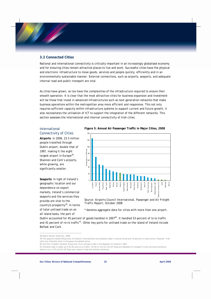#### **3.2 Connected Cities**

National and international connectivity is critically important in an increasingly globalised economy and for ensuring cities remain attractive places to live and work. Successful cities have the physical and electronic infrastructure to move goods, services and people quickly, efficiently and in an environmentally sustainable manner. External connections, such as airports, seaports, and adequate internal road and public transport are vital.

As cities have grown, so too have the complexities of the infrastructure required to ensure their smooth operation. It is clear that the most attractive cities for business expansion and investment will be those that invest in advanced infrastructures such as next generation networks that make business operations within the metropolitan area more efficient and responsive. This not only requires sufficient capacity within infrastructure systems to support current and future growth, it also necessitates the utilisation of ICT to support the integration of the different networks. This section assesses the international and internal connectivity of Irish cities.

#### International Connectivity of Cities

**Airports**: In 2008, 23.5 million people travelled through Dublin airport, double that of 1997, making it the eight largest airport in Europe $38$ . Shannon and Cork's airports, while growing, are significantly smaller.

**Seaports**: In light of Ireland's geographic location and our dependence on export markets, Ireland's commercial seaports and the services they provide are vital to the country's prosperity<sup>39</sup>. In terms of total unitised trade on an all island basis, the port of

## **Figure 5: Annual Air Passenger Traffic in Major Cities, 2008**



*Source: Airports Council International, Passenger and Air Freight Traffic Report, October 2008* 

*\* denotes aggregate data for cities with more than one airport.*

Dublin accounted for 45 percent of goods handled in 2007<sup>40</sup>. It handled 53 percent of lo-lo traffic and 41 percent of ro-ro traffic<sup>41</sup>. Other key ports for unitised trade on the island of Ireland include Belfast and Cork.

<sup>38</sup> Dublin Airport Authority, 2009.

<sup>39</sup> The seaports handle 99 percent of Ireland's international merchandise trade in volume terms and 75 percent in value terms. However, Irish ports are relatively small in European and global terms.

<sup>40</sup> The Port of Dublin handled 70 percent of all unitised trade in the Republic of Ireland in 2007.

<sup>41</sup> Unitised trade is made up of Ro-Ro and Lo-Lo traffic. Ro-Ro or roll-on/roll-off ships are designed to transport trucks carrying containers, while Lo-Lo or lift-on/lift-off ships use cranes to load and unload containers.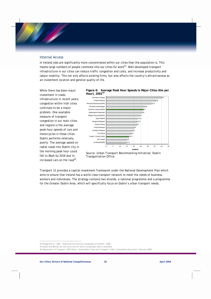#### Internal Access

In Ireland jobs are significantly more concentrated within our cities than the population is. This means large numbers of people commute into our cities for work<sup>42</sup>. Well-developed transport infrastructure in our cities can reduce traffic congestion and costs, and increase productivity and labour mobility. This not only affects existing firms, but also affects the country's attractiveness as an investment location and general quality of life.

While there has been major investment in roads infrastructure in recent years, congestion within Irish cities continues to be a major problem. One available measure of transport congestion in our main cities and regions is the average peak-hour speeds of cars and motorcycles in these cities. Dublin performs relatively poorly. The average speed on radial roads into Dublin city in the morning peak hour could fall to 8kph by 2016 due to increased cars on the road $44$ .





Transport 21 provides a capital investment framework under the National Development Plan which aims to ensure that Ireland has a world class transport network to meet the needs of business, workers and individuals. The strategy contains two strands, a national programme and a programme for the Greater Dublin Area, which will specifically focus on Dublin's urban transport needs.

*Source: Urban Transport Benchmarking Initiative/ Dublin Transportation Office* 

<sup>42</sup> Morganroth E., ESRI, "Exploring the Economic Geography of Ireland", 2008.

<sup>43</sup> Dublin and Belfast are the only cities for which comparable data is available.

<sup>44</sup> Department of Transport, 2020 Vision – Sustainable Travel and Transport: Public Consultation Document. February 2008.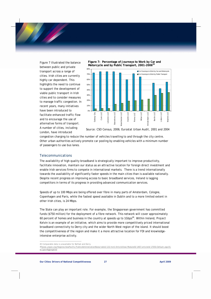Figure 7 illustrated the balance between public and private transport across a range of cities. Irish cities are currently highly car dependent. This highlights the need to continue to support the development of viable public transport in Irish cities and to consider measures to manage traffic congestion. In recent years, many initiatives have been introduced to facilitate enhanced traffic flow and to encourage the use of alternative forms of transport. A number of cities, including London, have introduced





*Source: CSO Census, 2006; Eurostat Urban Audit, 2001 and 2004* 

congestion charging to reduce the number of vehicles travelling to and through the city centre. Other urban authorities actively promote car pooling by enabling vehicles with a minimum number of passengers to use bus lanes.

#### **Telecommunications**

The availability of high quality broadband is strategically important to improve productivity, facilitate innovation, maintain our status as an attractive location for foreign direct investment and enable Irish services firms to compete in international markets. There is a trend internationally towards the availability of significantly faster speeds in the main cities than is available nationally. Despite recent progress on improving access to basic broadband services, Ireland is lagging competitors in terms of its progress in providing advanced communication services.

Speeds of up to 100 Mbps are being offered over fibre in many parts of Amsterdam, Cologne, Copenhagen and Paris, while the fastest speed available in Dublin and to a more limited extent in other Irish cities, is 24 Mbps.

The State can play an important role. For example, the Singaporean government has committed funds (\$750 million) for the deployment of a fibre network. This network will cover approximately 60 percent of homes and business in the country at speeds up to 1Gbps<sup>46</sup>. Within Ireland, Project Kelvin is an example of an initiative, which aims to provide more competitively priced international broadband connectivity to Derry city and the wider North West region of the island. It should boost the competitiveness of the region and make it a more attractive location for FDI and knowledgeintensive enterprise activity.

<sup>45</sup> Comparable data is unavailable for Belfast and Derry.

<sup>46</sup>www.unpan.org/Regions/AsiaPacific/PublicAdministrationNews/tabid/115/mctl/ArticleView/ModuleID/1467/articleId/17055/Default.aspx?Li stType=Aggregated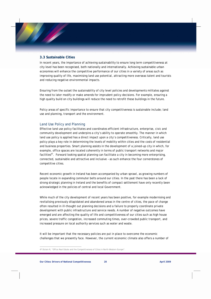#### **3.3 Sustainable Cities**

In recent years, the importance of achieving sustainability to ensure long term competitiveness at city level has been recognised, both nationally and internationally. Achieving sustainable urban economies will enhance the competitive performance of our cities in a variety of areas such as improving quality of life, maximising land use potential, attracting more overseas talent and tourists and reducing negative environmental impacts.

Ensuring from the outset the sustainability of city level policies and developments militates against the need to later modify or make amends for imprudent policy decisions. For example, ensuring a high quality build on city buildings will reduce the need to retrofit these buildings in the future.

Policy areas of specific importance to ensure that city competitiveness is sustainable include; land use and planning, transport and the environment.

#### Land Use Policy and Planning

Effective land use policy facilitates and coordinates efficient infrastructure, enterprise, civic and community development and underpins a city's ability to operate smoothly. The manner in which land use policy is applied has a direct impact upon a city's competitiveness. Critically, land use policy plays a key role in determining the levels of mobility within cities and the costs of residential and business properties. Smart planning assists in the development of a joined-up city in which, for example, office spaces are located coherently in terms of public transport networks and major facilities<sup>47</sup>. Forward looking spatial planning can facilitate a city in becoming more enterprising, connected, sustainable and attractive and inclusive – as such enhance the four cornerstones of competitive cities.

Recent economic growth in Ireland has been accompanied by urban sprawl, as growing numbers of people locate in expanding commuter belts around our cities. In the past there has been a lack of strong strategic planning in Ireland and the benefits of compact settlement have only recently been acknowledged in the policies of central and local Government.

While much of the city development of recent years has been positive, for example modernising and revitalising previously dilapidated and abandoned areas in the centre of cities, the pace of change often resulted in ill-thought out planning decisions and a failure to properly coordinate private development with public infrastructure and service needs. A number of negative outcomes have emerged and are affecting the quality of life and competitiveness of our cities such as high house prices, severe traffic congestion, increased commuting times, over-crowded public transport, and increased pressure on local authority services such as water and waste.

It will be important that the necessary policies are put in place to overcome the economic challenges that we presently face. However, the current economic climate also offers a number of

<sup>47</sup> Diziain R, "Office Real Estate and the Competitiveness of Cities in North-Western Europe".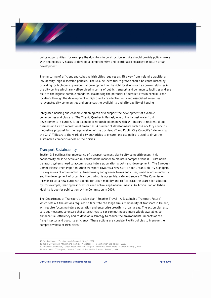policy opportunities, for example the downturn in construction activity should provide policymakers with the necessary hiatus to develop a comprehensive and coordinated strategy for future urban development.

The nurturing of efficient and cohesive Irish cities requires a shift away from Ireland's traditional low-density, high-dispersion policies. The NCC believes future growth should be consolidated by providing for high-density residential development in the right locations such as brownfield sites in the city centre which are well-serviced in terms of public transport and community facilities and are built to the highest possible standards. Maximising the potential of derelict sites in central urban locations through the development of high quality residential units and associated amenities rejuvenates city communities and enhances the availability and affordability of housing.

Integrated housing and economic planning can also support the development of dynamic communities and clusters. The Titanic Quarter in Belfast, one of the largest waterfront developments in Europe, is an example of strategic planning which will integrate residential and business units with recreational amenities. A number of developments such as Cork City council's innovative proposal for the regeneration of the docklands<sup>48</sup> and Dublin City Council's "Maximising the City"<sup>49</sup> illustrate the work of city authorities to ensure land use policy is used to drive the sustainable competitiveness of their cities.

#### Transport Sustainability

Section 3.3 outlines the importance of transport connectivity to city competitiveness - this connectivity must be achieved in a sustainable manner to maintain competitiveness. Sustainable transport systems need to accommodate future population growth and development. The European Commission's Green Paper on urban transport *Towards a New Culture for Urban Mobility* highlights the key issues of urban mobility: free-flowing and greener towns and cities, smarter urban mobility and the development of urban transport which is accessible, safe and secure<sup>50</sup>. The Commission intends to set a new European agenda for urban mobility and to facilitate the search for solutions by, for example, sharing best practices and optimising financial means. An Action Plan on Urban Mobility is due for publication by the Commission in 2009.

The Department of Transport's action plan "Smarter Travel – A Sustainable Transport Future", which sets out the actions required to facilitate the long term sustainability of transport in Ireland, will require focussing future population and enterprise growth in urban areas. The action plan also sets out measures to ensure that alternatives to car commuting are more widely available, to enhance fuel efficiency and to develop a strategy to reduce the environmental impacts of the freight sector and boost its efficiency. These actions are consistent with policies to improve the competitiveness of Irish cities $51$ .

 $\overline{a}$ 48 Cork Docklands, "Cork Docklands Economic Study", 2007.

<sup>49</sup> Dublin City Council, "Maximising the City - A Strategy for Intensification and Height", 2008.

<sup>50</sup> European Commission, "Green Paper on Urban Transport – Towards a New Culture for Urban Mobility", 2007.

<sup>51</sup> Department of Transport, "Smarter Travel – A Sustainable Transport Future", 2009.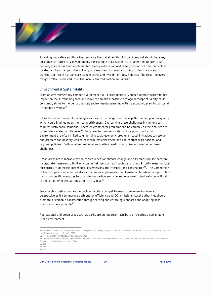Providing innovative solutions that enhance the sustainability of urban transport should be a key objective for future city development. For example in La Rochelle a cleaner and quieter urban delivery system has been implemented. Heavy vehicles unload their goods at distribution centres located at the urban periphery. The goods are then clustered according to destination and transported into the urban core using electric and hybrid light duty vehicles. The resulting overall freight traffic is reduced, as is the locally emitted carbon emissions $52$ .

#### Environmental Sustainability

From an environmentally competitive perspective, a sustainable city should operate with minimal impact on the surrounding area and leave the smallest possible ecological footprint. A city must constantly strive to merge its physical/environmental planning with its economic planning to sustain its competitiveness $53$ .

Cities face environmental challenges such as traffic congestion, noise pollution and poor air quality which could impinge upon their competitiveness. Overcoming these challenges in the long term requires sustainable solutions. These environmental problems can be complex as their causes are often inter-related at city level<sup>54</sup>. For example, problems relating to a poor quality built environment are often linked to underlying socio-economic problems. Local initiatives to resolve one problem can possibly lead to new problems elsewhere and can conflict with national and regional policies. Both local and national authorities need to recognise and overcome these challenges.

Urban areas are vulnerable to the consequences of climate change and city plans should therefore incorporate measures to limit environmental risks such as flooding and smog. Priority areas for local authorities to decrease greenhouse gas emissions are transport and construction<sup>55</sup>. The Commission of the European Communities states that wider implementation of sustainable urban transport plans including specific measures to promote low carbon emission and energy-efficient vehicles will help to reduce greenhouse gas emissions at city level<sup>56</sup>.

Sustainable construction also impacts on a city's competitiveness from an environmental perspective as it can improve both energy efficiency and  $CO<sub>2</sub>$  emissions. Local authorities should promote sustainable construction through setting and enforcing standards and adopting best practices where possible $57$ .

Recreational and green areas such as parks are an important attribute of creating a sustainable urban environment.

<sup>52</sup> European Commission, "Sustainable Urban Transport Plans – Preparatory Document in relation to the follow-up of the Thematic Strategy on the Urban Environment – Annex", 2007.

<sup>53</sup> J. R. Kenworth, "Sustainability and Cities", 1999.

<sup>54</sup> Commission of the European Communities, Communication from the Commission to the Council and the European Parliament on Thematic Strategy on the Urban Environment, 2006.

<sup>55</sup> Ibid. 56 Ibid.

<sup>57</sup> Ibid.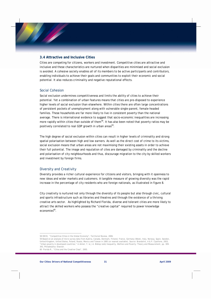#### **3.4 Attractive and Inclusive Cities**

Cities are competing for citizens, workers and investment. Competitive cities are attractive and inclusive and these characteristics are nurtured when disparities are minimised and social exclusion is avoided. A cohesive society enables all of its members to be active participants and contributors, enabling individuals to achieve their goals and communities to exploit their economic and social potential. It also reduces criminality and negative reputational effects.

#### Social Cohesion

Social exclusion undermines competitiveness and limits the ability of cities to achieve their potential. Yet a combination of urban features means that cities are pre-disposed to experience higher levels of social exclusion than elsewhere. Within cities there are often large concentrations of persistent pockets of unemployment along with vulnerable single-parent, female-headed families. These households are far more likely to live in consistent poverty than the national average. There is international evidence to suggest that socio-economic inequalities are increasing more rapidly within cities than outside of them<sup>58</sup>. It has also been noted that poverty ratios may be positively correlated to real GDP growth in urban areas<sup>59</sup>.

The high degree of social exclusion within cities can result in higher levels of criminality and strong spatial polarisation between high and low earners. As well as the direct cost of crime to its victims, social exclusion means that urban areas are not maximising their existing assets in order to achieve their full potential. The image and reputation of cites are damaged by criminality and the decline and polarisation of city neighbourhoods and thus, discourage migration to the city by skilled workers and investment by foreign firms.

#### Diversity and Creativity

Diversity provides a richer cultural experience for citizens and visitors, bringing with it openness to new ideas and wider markets and customers. A tangible measure of growing diversity was the rapid increase in the percentage of city residents who are foreign nationals, as illustrated in figure 8.

City creativity is nurtured not only through the diversity of its people but also through civic, cultural and sports infrastructure such as libraries and theatres and through the existence of a thriving creative arts sector. As highlighted by Richard Florida, diverse and tolerant cities are more likely to attract the skilled workers who possess the "creative capital" required to power knowledge economies<sup>60</sup>.

<sup>58</sup> OECD, "Competitive Cities in the Global Economy", Territorial Review, 2006.

<sup>59</sup> Based on an analysis of micro survey data from Austria, Canada, Denmark, Finland, France, Germany (West), Italy, Norway, Spain, Sweden, United Kingdom, United States, Poland, Russia, Mexico and Taiwan in 1995 (or nearest available). Source: Brandolini, A & P. Cipollone, 2003, "Urban poverty in developed countries," in Amiel, Y. & J.A. Bishop (eds*) Inequality, Welfare and Poverty: Theory and Measurement*, pp. 309- 343, Philadelphia: Elsevier.

<sup>60</sup> Florida R., "Cities and the Creative Class", 2005.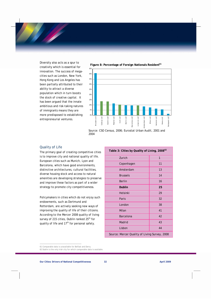Diversity also acts as a spur to creativity which is essential for innovation. The success of megacities such as London, New York, Hong Kong and Los Angeles has been partially attributed to their ability to attract a diverse population which in turn boosts the stock of creative capital. It has been argued that the innate ambitious and risk-taking natures of immigrants means they are more predisposed to establishing entrepreneurial ventures.



*Source: CSO Census, 2006; Eurostat Urban Audit, 2001 and 2004* 

#### Quality of Life

The primary goal of creating competitive cities is to improve city and national quality of life. European cities such as Munich, Lyon and Barcelona, which have good environments, distinctive architectures, cultural facilities, diverse housing stock and access to natural amenities are developing strategies to preserve and improve these factors as part of a wider strategy to promote city competitiveness.

Policymakers in cities which do not enjoy such endowments, such as Dortmund and Rotterdam, are actively seeking new ways of improving the quality of life of their citizens. According to the Mercer 2008 quality of living survey of 215 cities, Dublin ranked 25<sup>th</sup> for quality of life and 17<sup>th</sup> for personal safety.

| Table 3: Cities by Quality of Living, 2008 <sup>62</sup> |    |  |
|----------------------------------------------------------|----|--|
| Zurich                                                   | 1  |  |
| Copenhagen                                               | 11 |  |
| Amsterdam                                                | 13 |  |
| <b>Brussels</b>                                          | 14 |  |
| <b>Berlin</b>                                            | 16 |  |
| <b>Dublin</b>                                            | 25 |  |
| Helsinki                                                 | 29 |  |
| Paris                                                    | 32 |  |
| London                                                   | 38 |  |
| Milan                                                    | 41 |  |
| <b>Barcelona</b>                                         | 42 |  |
| Madrid                                                   | 43 |  |
| Lisbon                                                   | 44 |  |
| Source: Mercer Quality of Living Survey, 2008            |    |  |

<sup>61</sup> Comparable data is unavailable for Belfast and Derry. 62 Dublin is the only Irish city for which comparable data is available.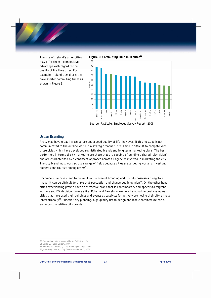The size of Ireland's other cities may offer them a competitive advantage with regard to the quality of life they offer. For example, Ireland's smaller cities have shorter commuting times as shown in Figure 9.





 *Source: PayScale, Employee Survey Report, 2008* 

#### Urban Branding

A city may have great infrastructure and a good quality of life; however, if this message is not communicated to the outside world in a strategic manner, it will find it difficult to compete with those cities which have developed sophisticated brands and long term marketing plans. The best performers in terms of city marketing are those that are capable of building a shared 'city-vision' and are characterised by a consistent approach across all agencies involved in marketing the city. The city brand must work across a range of fields because cities are targeting workers, investors, students and tourists among others<sup>64</sup>.

Uncompetitive cities tend to be weak in the area of branding and if a city possesses a negative image, it can be difficult to shake that perception and change public opinion<sup>65</sup>. On the other hand, cities experiencing growth have an attractive brand that is contemporary and appeals to migrant workers and FDI decision makers alike. Dubai and Barcelona are noted among the best examples of cities that have used their buildings and events as catalysts for actively promoting their city's image internationally<sup>66</sup>. Superior city planning, high quality urban design and iconic architecture can all enhance competitive city brands.

 $\overline{a}$ 63 Comparable data is unavailable for Belfast and Derry.

<sup>64</sup> Clarke G. "Open Cities", 2007.

<sup>65</sup> Winfield-Pikkleforn J., "The Branding of Cities" 2005. 66 Jones Lang Lasalle, "City Governance Report", 2004.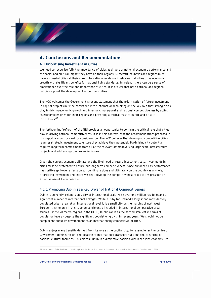## **4. Conclusions and Recommendations**

#### **4.1 Prioritising Investment in Cities**

We need to recognise fully the importance of cities as drivers of national economic performance and the social and cultural impact they have on their regions. Successful countries and regions must have successful cities at their core. International evidence illustrates that cities drive economic growth with significant benefits for national living standards. In Ireland, there can be a sense of ambivalence over the role and importance of cities. It is critical that both national and regional policies support the development of our main cities.

The NCC welcomes the Government's recent statement that the prioritisation of future investment in capital projects must be consistent with "*international thinking on the key role that strong cities play in driving economic growth and in enhancing regional and national competitiveness by acting as economic engines for their regions and providing a critical mass of public and private institutions"*<sup>67</sup>*.* 

The forthcoming 'refresh' of the NSS provides an opportunity to confirm the critical role that cities play in driving national competitiveness. It is in this context, that the recommendations proposed in this report are put forward for consideration. The NCC believes that developing competitive cities requires strategic investment to ensure they achieve their potential. Maximising city potential requires long term commitment from all of the relevant actors involving large scale infrastructure projects and addressing complex social issues.

Given the current economic climate and the likelihood of future investment cuts, investments in cities must be protected to ensure our long term competitiveness. Since enhanced city performance has positive spill-over effects on surrounding regions and ultimately on the country as a whole, prioritising investment and initiatives that develop the competitiveness of our cities presents an effective use of Exchequer funds.

#### 4.1.1 Promoting Dublin as a Key Driver of National Competitiveness

Dublin is currently Ireland's only city of international scale, with over one million residents and a significant number of international linkages. While it is by far, Ireland's largest and most densely populated urban area, at an international level it is a small city on the margins of northwest Europe. It is the only Irish city to be consistently included in international comparative urban studies. Of the 78 metro-regions in the OECD, Dublin ranks as the second smallest in terms of population levels – despite the significant population growth in recent years. We should not be complacent about its development as an internationally competitive location.

Dublin enjoys many benefits derived from its role as the capital city, for example, as the centre of Government administration, the location of international transport hubs and the clustering of national cultural facilities. This places Dublin in a distinctive position within the Irish economy. Its

 $\overline{a}$ 67 Department of the Taoiseach, "Building Ireland's Smart Economy – A Framework for Sustainable Economic Development", 2008.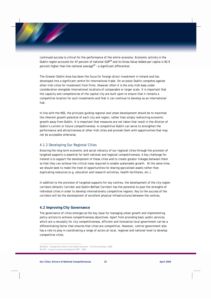continued success is critical for the performance of the entire economy. Economic activity in the Dublin region accounts for 47 percent of national GDP<sup>68</sup> and its Gross Value Added per capita is 40.9 percent higher than the national average<sup>69</sup> - a significant differential.

The Greater Dublin Area has been the focus for foreign direct investment in Ireland and has developed into a significant centre for international trade. On occasion Dublin competes against other Irish cities for investment from firms. However often it is the only Irish base under consideration alongside international locations of comparable or larger scale. It is important that the capacity and competencies of the capital city are built upon to ensure that it remains a competitive location for such investments and that it can continue to develop as an international hub.

In line with the NSS, the principle guiding regional and urban development should be to maximise the inherent growth potential of each city and region, rather than simply redirecting economic growth away from Dublin. It is important that measures are not taken that result in the dilution of Dublin's current or future competitiveness. A competitive Dublin can serve to strengthen the performance and attractiveness of other Irish cities and provide them with opportunities that may not be accessible otherwise.

#### 4.1.2 Developing Our Regional Cities

Ensuring the long term economic and social vibrancy of our regional cities through the provision of targeted supports is essential for both national and regional competitiveness. A key challenge for Ireland is to support the development of these cities and to create greater linkages between them so that they can achieve the critical mass required to enable sustainable growth. At the same time, we should seek to make the most of opportunities for sharing specialised assets rather than duplicating resources (e.g. education and research activities, health facilitates, etc.).

In addition to the provision of targeted supports for key centres, the development of the city-region corridors (Atlantic Corridor and Dublin-Belfast Corridor) has the potential to pool the strengths of individual cities in order to develop internationally competitive regions. Key to the success of the corridors will be the development of excellent physical infrastructures between the centres.

#### **4.2 Improving City Governance**

The governance of cities emerges as the key issue for managing urban growth and implementing policy actions to achieve competitiveness objectives. Apart from providing basic public services, which are a necessity for city competitiveness, efficient and innovative local government can be a differentiating factor that ensures that cities are competitive. However, central government also has a role to play in coordinating a range of actors at local, regional and national level to develop competitive cities.

<sup>68</sup> OECD, "Competitive Cities in the Global Economy", Territorial Review, 2006. 69 CSO, "County Incomes and Regional GDP", 2005.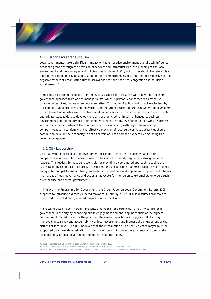#### 4.2.1 Urban Entrepreneurialism

Local governments make a significant impact on the enterprise environment and directly influence economic growth through the provision of services and infrastructures, the planning of the local environment and the strategies and policies they implement. City authorities should therefore play a proactive role in improving and sustaining their competitiveness positions and be responsive to the negative effects of urbanisation (urban sprawl and spatial disparities, congestion and pollution, social issues) $70$ .

In response to economic globalisation, many city authorities across the world have shifted their governance approach from one of managerialism, which is primarily concerned with effective provision of services, to one of entrepreneurialism. This mode of policymaking is characterised by pro-competitive approaches and innovation $71$ . In the urban entrepreneurialism system, policymakers from different administrative institutions work in partnership with each other and a range of public and private stakeholders to develop the city's economy, which in turn enhances its business environment and the quality of life enjoyed by citizens. The NCC welcomes the growing awareness within Irish city authorities of their influence and responsibility with regard to enhancing competitiveness. In tandem with the effective provision of local services, city authorities should continue to develop their capacity to act as drivers of urban competitiveness by embracing this governance approach.

#### 4.2.2 City Leadership

City leadership is critical to the development of competitive cities. To achieve and retain competitiveness, key policy decisions need to be made for the city region by a strong leader or leaders. This leadership must be responsible for providing a coordinated approach to tackle the issues faced by the greater city area. Transparent and accountable leadership facilitates efficiency and greater competitiveness. Strong leadership can coordinate and implement progressive strategies in all areas of local governance and act as an advocate for the region to external stakeholders such as enterprise and central government.

In line with the Programme for Government, the Green Paper on Local Government Reform 2008 proposes to introduce a directly elected mayor for Dublin by  $2011^{72}$ . It also discusses proposals for the introduction of directly elected mayors in other locations.

A directly elected mayor in Dublin presents a number of opportunities. It may invigorate local governance in the city by enhancing public engagement and ensuring individuals of the highest calibre are attracted to run for the position. The Green Paper has also suggested that it may improve transparency and accountability of local government and increase the engagement of the citizens at local level. The NCC believes that the introduction of a directly elected mayor must be supported by a clear demonstration of how this office will improve the efficiency and democratic accountability of local government and deliver value for money.

<sup>70</sup> OECD, "Competitive Cities in the Global Economy", Territorial Review, 2006.

<sup>71</sup> OECD, "Competitive Cities : A New Entrepreneurial Paradigm Shift in Spatial Development", 2007.

<sup>72</sup> Department of Environment, Heritage and Local Government, " Green Paper of Local Government Reform" 2008.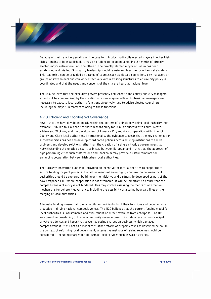Because of their relatively small size, the case for introducing directly elected mayors in other Irish cities remains to be established. It may be prudent to postpone assessing the merits of directly elected mayors elsewhere until the office of the directly elected mayor of Dublin has been established and trialled. Strong city leadership should remain an objective for urban stakeholders. This leadership can be provided by a range of sources such as elected councillors, city managers or groups of stakeholders and can work effectively within existing structures to ensure city policy is coordinated and that the needs and concerns of the city are heard at national level.

The NCC believes that the executive powers presently entrusted to the county and city managers should not be compromised by the creation of a new mayoral office. Professional managers are necessary to execute local authority functions effectively, and to advise elected councillors, including the mayor, in matters relating to these functions.

#### 4.2.3 Efficient and Coordinated Governance

Few Irish cities have developed neatly within the borders of a single governing local authority. For example, Dublin's four authorities share responsibility for Dublin's success with Louth, Meath, Kildare and Wicklow, and the development of Limerick City requires cooperation with Limerick County and Clare local authorities. Internationally, the evidence suggests that the key challenge for successful cities has been to develop coordinated policies across existing institutions to tackle problems and develop solutions rather than the creation of a single citywide governing entity. Notwithstanding the relative disparities in size between European and Irish cities, the approach of high performing cities such as Barcelona and Stockholm may provide a useful template for enhancing cooperation between Irish urban local authorities.

The Gateway Innovation Fund (GIF) provided an incentive for local authorities to cooperate to secure funding for joint projects. Innovative means of encouraging cooperation between local authorities should be explored, building on the initiative and partnership developed as part of the now postponed GIF. Where cooperation is not attainable, it will be important to ensure that the competitiveness of a city is not hindered. This may involve assessing the merits of alternative mechanisms for coherent governance, including the possibility of altering boundary lines or the merging of local authorities.

Adequate funding is essential to enable city authorities to fulfil their functions and become more proactive in driving national competitiveness. The NCC believes that the current funding model for local authorities is unsustainable and over-reliant on direct revenues from enterprise. The NCC welcomes the broadening of the local authority revenue base to include a levy on non-principal private residences and hopes that as well as easing charges on business, which damages competitiveness, it will act as a model for further reform of property taxes as described below. In the context of reforming local government, alternative methods of raising revenue should be considered — including charges for all users of local services such as water services.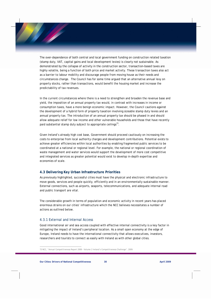The over-dependence of both central and local government funding on construction related taxation (stamp duty, VAT, capital gains and local development levies) is clearly not sustainable. As demonstrated by the collapse of activity in the construction sector, transaction-based taxes are highly volatile, being a function of both price and market activity. These transaction taxes also act as a barrier to labour mobility and discourage people from moving house as their needs and circumstances change. The Council has for some time argued that an alternative annual levy on property stocks, rather than transactions, would benefit the housing market and increase the predictability of tax revenues.

In the current circumstances where there is a need to strengthen and broaden the revenue base and yield, the imposition of an annual property tax would, in contrast with increases in income or consumption taxes, have a more benign economic impact. However, the Council cautions against the development of a hybrid form of property taxation involving sizeable stamp duty levies and an annual property tax. The introduction of an annual property tax should be phased in and should allow adequate relief for low income and other vulnerable households and those that have recently paid substantial stamp duty subject to appropriate ceilings $^{73}$ .

Given Ireland's already high cost base, Government should proceed cautiously on increasing the costs to enterprise from local authority charges and development contributions. Potential exists to achieve greater efficiencies within local authorities by enabling fragmented public services to be coordinated at a national or regional level. For example, the national or regional coordination of waste management and water services would support the development of more cost competitive and integrated services as greater potential would exist to develop in-depth expertise and economies of scale.

#### **4.3 Delivering Key Urban Infrastructure Priorities**

As previously highlighted, successful cities must have the physical and electronic infrastructure to move goods, services and people quickly, efficiently and in an environmentally sustainable manner. External connections, such as airports, seaports, telecommunications, and adequate internal road and public transport are vital.

The considerable growth in terms of population and economic activity in recent years has placed enormous strains on our cities' infrastructure which the NCC believes necessitates a number of actions as outlined below.

#### 4.3.1 External and Internal Access

Good international air and sea access coupled with effective internal connectivity is a key factor in mitigating the impact of Ireland's peripheral location. As a small open economy at the edge of Europe, Ireland needs to have the international connectivity that allows executives, investors, researchers and tourists to connect as easily with Ireland as with other global cities.

<sup>73</sup> NCC, "Annual Competitiveness Report 2008 – Volume 2 Ireland's Competitiveness Challenge", 2009.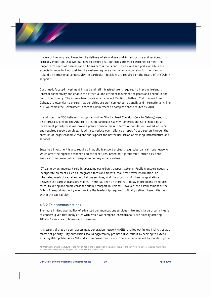In view of the long lead times for the delivery of air and sea port infrastructure and services, it is critically important that we plan now to ensure that our cities are well positioned to meet the longer term needs of business and citizens across the island. The air and sea ports in Dublin are especially important not just for the eastern region's external access but also for the island of Ireland's international connectivity. In particular, decisions are required on the future of the Dublin seaport $^{74}$ .

Continued, focused investment in road and rail infrastructure is required to improve Ireland's internal connectivity and enable the effective and efficient movement of goods and people in and out of the country. The inter-urban routes which connect Dublin to Belfast, Cork, Limerick and Galway are essential to ensure that our cities are well connected nationally and internationally. The NCC welcomes the Government's recent commitment to complete these routes by 2010.

In addition, the NCC believes that upgrading the Atlantic Road Corridor (Cork to Galway) needs to be prioritised. Linking the Atlantic cities, in particular Galway, Limerick and Cork should be an investment priority as it will provide greater critical mass in terms of population, skilled workers and required support services. It will also reduce over reliance on specific sub-sectors through the creation of larger economic regions and support the better utilisation of existing infrastructure and services.

Sustained investment is also required in public transport projects (e.g. suburban rail, bus networks), which offer the highest economic and social returns, based on rigorous multi-criteria *ex ante*  analysis, to improve public transport in our key urban centres.

ICT can play an important role in upgrading our urban transport systems. Public transport needs to incorporate elements such as integrated fares and tickets, real time travel information, an integrated mesh of radial and orbital bus services, and the provision of interchange stations between the various transport modes. There has been an inordinate delay in producing integrated fares, ticketing and smart cards for public transport in Ireland. However, the establishment of the Dublin Transport Authority may provide the leadership required to finally deliver these initiatives within the capital city.

#### 4.3.2 Telecommunications

 $\overline{a}$ 

The more limited availability of advanced communications services in Ireland's large urban cities is of concern given that many cities with which we compete internationally are already offering 100Mbit/s services to homes and businesses.

It is essential that an open access next generation network (NGN) is rolled out in key Irish cities as a matter of priority. City authorities should aggressively promote NGN rollout by seeking to extend existing Metropolitan Area Networks to improve their reach. This can be achieved by mandating the

<sup>74</sup> Uncertainty around the future of the Port of Dublin and in particular the possible move of the port from its current location may hinder much needed investment in the port's facilities over the medium term.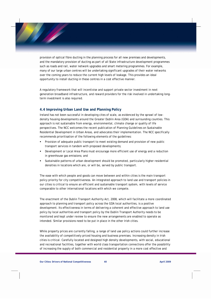provision of optical fibre ducting in the planning process for all new premises and developments, and the mandatory provision of ducting as part of all State infrastructure development programmes such as roads and rail, water network upgrades and smart metering programmes. For example, many of our large urban centres will be undertaking significant upgrades of their water networks over the coming years to reduce the current high levels of leakage. This provides an ideal opportunity to install ducting in these centres in a cost effective manner.

A regulatory framework that will incentivise and support private sector investment in next generation broadband infrastructure, and reward providers for the risk involved in undertaking longterm investment is also required.

#### **4.4 Improving Urban Land Use and Planning Policy**

Ireland has not been successful in developing cites of scale, as evidenced by the sprawl of lowdensity housing developments around the Greater Dublin Area (GDA) and surrounding counties. This approach is not sustainable from energy, environmental, climate change or quality of life perspectives. The NCC welcomes the recent publication of Planning Guidelines on Sustainable Residential Development in Urban Areas, and advocates their implementation. The NCC specifically recommends prioritisation of the following elements of the guidelines:

- Provision of adequate public transport to meet existing demand and provision of new public transport services in tandem with proposed developments;
- Development or Local Area Plans must encourage more efficient use of energy and a reduction in greenhouse gas emissions; and
- Sustainable patterns of urban development should be promoted, particularly higher residential densities in locations which are, or will be, served by public transport.

The ease with which people and goods can move between and within cities is the main transport policy priority for city competitiveness. An integrated approach to land use and transport policies in our cities is critical to ensure an efficient and sustainable transport system, with levels of service comparable to other international locations with which we compete.

The enactment of the Dublin Transport Authority Act, 2008, which will facilitate a more coordinated approach to planning and transport policy across the GDA local authorities, is a positive development. Its effectiveness in terms of delivering a coherent and effective approach to land use policy by local authorities and transport policy by the Dublin Transport Authority needs to be monitored and kept under review to ensure the new arrangements are enabled to operate as intended. Similar provisions need to be put in place in the other Irish cities.

While property prices are currently falling, a range of land use policy actions could further increase the availability of competitively priced housing and business premises. Increasing density in Irish cities is critical. Carefully located and designed high density developments, with social, educational and recreational facilities, together with world class transportation connections offer the possibility of increasing the supply of both commercial and residential property in a more cost effective and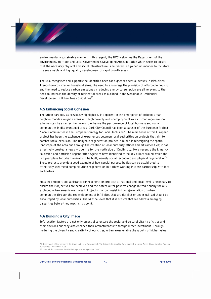environmentally sustainable manner. In this regard, the NCC welcomes the Department of the Environment, Heritage and Local Government's Developing Areas Initiative which seeks to ensure that the necessary physical and social infrastructure is delivered in a joined up manner to facilitate the sustainable and high quality development of rapid growth areas.

The NCC recognises and supports the identified need for higher residential density in Irish cities. Trends towards smaller household sizes, the need to encourage the provision of affordable housing and the need to reduce carbon emissions by reducing energy consumption are all relevant to the need to increase the density of residential areas as outlined in the Sustainable Residential Development in Urban Areas Guidelines<sup>75</sup>.

#### **4.5 Enhancing Social Cohesion**

The urban paradox, as previously highlighted, is apparent in the emergence of affluent urban neighbourhoods alongside areas with high poverty and unemployment rates. Urban regeneration schemes can be an effective means to enhance the performance of local business and social communities in disadvantaged areas. Cork City Council has been a partner of the European Project "Local Communities in the European Strategy for Social Inclusion". The main focus of this European project has been the exchange of experiences between local authorities on projects that aim to combat social exclusion. The Ballymun regeneration project in Dublin is redesigning the spatial landscape of the area and through the creation of local authority offices and arts amenities; it has effectively created a new civic centre for the north side of Dublin city. More recently the Limerick Southside and Northside Regeneration Agencies have identified three key pillars around which the ten year plans for urban revival will be built, namely social, economic and physical regeneration<sup>76</sup>. These projects provide a good example of how special purpose bodies can be established to effectively spearhead complex urban regeneration initiatives working in close partnership with local authorities.

Sustained support and assistance for regeneration projects at national and local level is necessary to ensure their objectives are achieved and the potential for positive change in traditionally socially excluded urban areas is maximised. Projects that can assist in the rejuvenation of urban communities through the redevelopment of infill sites that are derelict or under-utilised should be encouraged by local authorities. The NCC believes that it is critical that we address emerging disparities before they reach crisis point.

#### **4.6 Building a City Image**

 $\overline{a}$ 

Soft location factors are not only essential to ensure the social and cultural vitality of cities and their environs but they also enhance their attractiveness to foreign direct investment. Through nurturing the diversity and creativity of our cities, urban areas enable the growth of higher value

<sup>75</sup> Department of Environment, Heritage and Local Government, "Sustainable Residential Development in Urban Areas, Guidelines for Planning Authorities", December 2008.

<sup>76</sup> Limerick Southside and Northside Regeneration Agencies, 2007.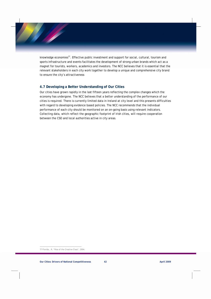knowledge economies<sup>77</sup>. Effective public investment and support for social, cultural, tourism and sports infrastructure and events facilitates the development of strong urban brands which act as a magnet for tourists, workers, academics and investors. The NCC believes that it is essential that the relevant stakeholders in each city work together to develop a unique and comprehensive city brand to ensure the city's attractiveness

#### **4.7 Developing a Better Understanding of Our Cities**

Our cities have grown rapidly in the last fifteen years reflecting the complex changes which the economy has undergone. The NCC believes that a better understanding of the performance of our cities is required. There is currently limited data in Ireland at city level and this presents difficulties with regard to developing evidence based policies. The NCC recommends that the individual performance of each city should be monitored on an on-going basis using relevant indicators. Collecting data, which reflect the geographic footprint of Irish cities, will require cooperation between the CSO and local authorities active in city areas.

<sup>77</sup> Florida., R, "Rise of the Creative Class", 2004.